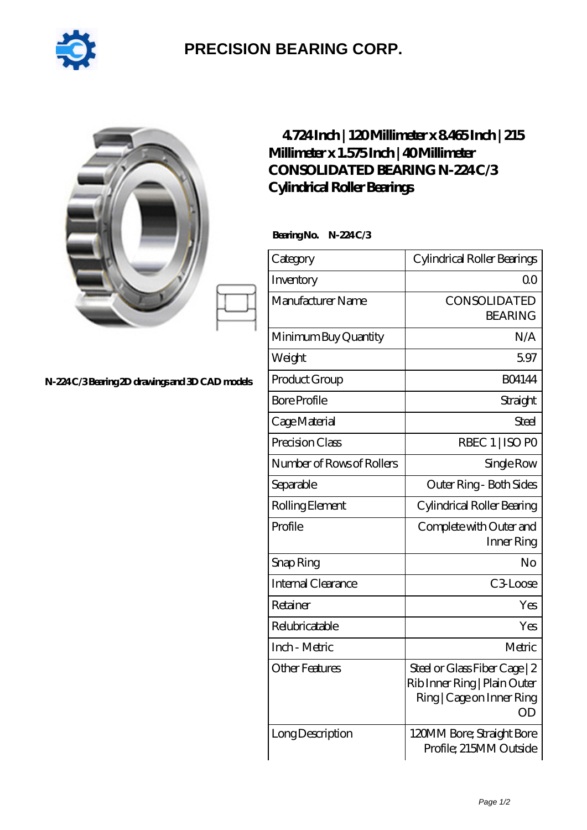

## **[PRECISION BEARING CORP.](https://my-greenpower-juicer.com)**

|                                               | 4724Inch   120Millimeter x 8465Inch   215<br>Millimeter x 1.575 Inch   40 Millimeter<br>CONSOLIDATED BEARING N-224C/3<br>Cylindrical Roller Bearings |                                                                                                  |
|-----------------------------------------------|------------------------------------------------------------------------------------------------------------------------------------------------------|--------------------------------------------------------------------------------------------------|
|                                               | BearingNo.<br>N-224C/3                                                                                                                               |                                                                                                  |
|                                               | Category                                                                                                                                             | Cylindrical Roller Bearings                                                                      |
|                                               | Inventory                                                                                                                                            | 0 <sup>0</sup>                                                                                   |
|                                               | Manufacturer Name                                                                                                                                    | CONSOLIDATED<br><b>BEARING</b>                                                                   |
|                                               | Minimum Buy Quantity                                                                                                                                 | N/A                                                                                              |
|                                               | Weight                                                                                                                                               | 5.97                                                                                             |
| N-224C/3Bearing 2D drawings and 3D CAD models | Product Group                                                                                                                                        | <b>BO4144</b>                                                                                    |
|                                               | <b>Bore Profile</b>                                                                                                                                  | Straight                                                                                         |
|                                               | Cage Material                                                                                                                                        | Steel                                                                                            |
|                                               | Precision Class                                                                                                                                      | RBEC 1   ISO PO                                                                                  |
|                                               | Number of Rows of Rollers                                                                                                                            | Single Row                                                                                       |
|                                               | Separable                                                                                                                                            | Outer Ring - Both Sides                                                                          |
|                                               | Rolling Element                                                                                                                                      | Cylindrical Roller Bearing                                                                       |
|                                               | Profile                                                                                                                                              | Complete with Outer and<br>Inner Ring                                                            |
|                                               | Snap Ring                                                                                                                                            | No                                                                                               |
|                                               | Internal Clearance                                                                                                                                   | C <sub>3</sub> Loose                                                                             |
|                                               | Retainer                                                                                                                                             | Yes                                                                                              |
|                                               | Relubricatable                                                                                                                                       | Yes                                                                                              |
|                                               | Inch - Metric                                                                                                                                        | Metric                                                                                           |
|                                               | <b>Other Features</b>                                                                                                                                | Steel or Glass Fiber Cage   2<br>Rib Inner Ring   Plain Outer<br>Ring   Cage on Inner Ring<br>OD |
|                                               | Long Description                                                                                                                                     | 120MM Bore; Straight Bore<br>Profile; 215MM Outside                                              |